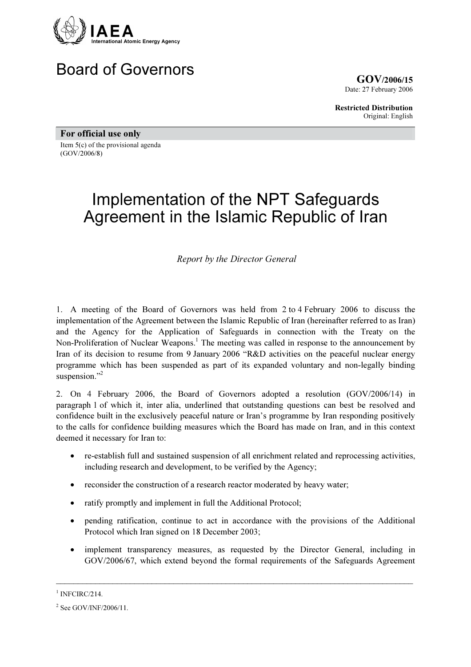

## Board of Governors

GOV/2006/15 Date: 27 February 2006

Restricted Distribution Original: English

For official use only Item 5(c) of the provisional agenda (GOV/2006/8)

# Implementation of the NPT Safeguards Agreement in the Islamic Republic of Iran

Report by the Director General

1. A meeting of the Board of Governors was held from 2 to 4 February 2006 to discuss the implementation of the Agreement between the Islamic Republic of Iran (hereinafter referred to as Iran) and the Agency for the Application of Safeguards in connection with the Treaty on the Non-Proliferation of Nuclear Weapons.<sup>1</sup> The meeting was called in response to the announcement by Iran of its decision to resume from 9 January 2006 "R&D activities on the peaceful nuclear energy programme which has been suspended as part of its expanded voluntary and non-legally binding suspension."<sup>2</sup>

2. On 4 February 2006, the Board of Governors adopted a resolution (GOV/2006/14) in paragraph 1 of which it, inter alia, underlined that outstanding questions can best be resolved and confidence built in the exclusively peaceful nature or Iran's programme by Iran responding positively to the calls for confidence building measures which the Board has made on Iran, and in this context deemed it necessary for Iran to:

- re-establish full and sustained suspension of all enrichment related and reprocessing activities, including research and development, to be verified by the Agency;
- reconsider the construction of a research reactor moderated by heavy water;
- ratify promptly and implement in full the Additional Protocol:
- pending ratification, continue to act in accordance with the provisions of the Additional Protocol which Iran signed on 18 December 2003;
- implement transparency measures, as requested by the Director General, including in GOV/2006/67, which extend beyond the formal requirements of the Safeguards Agreement

 $\_$ 

<sup>&</sup>lt;sup>1</sup> INFCIRC/214.

<sup>&</sup>lt;sup>2</sup> See GOV/INF/2006/11.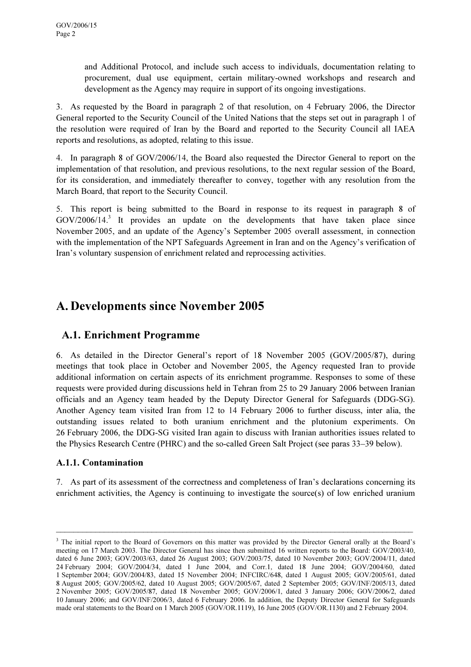and Additional Protocol, and include such access to individuals, documentation relating to procurement, dual use equipment, certain military-owned workshops and research and development as the Agency may require in support of its ongoing investigations.

3. As requested by the Board in paragraph 2 of that resolution, on 4 February 2006, the Director General reported to the Security Council of the United Nations that the steps set out in paragraph 1 of the resolution were required of Iran by the Board and reported to the Security Council all IAEA reports and resolutions, as adopted, relating to this issue.

4. In paragraph 8 of GOV/2006/14, the Board also requested the Director General to report on the implementation of that resolution, and previous resolutions, to the next regular session of the Board, for its consideration, and immediately thereafter to convey, together with any resolution from the March Board, that report to the Security Council.

5. This report is being submitted to the Board in response to its request in paragraph 8 of GOV/2006/14.<sup>3</sup> It provides an update on the developments that have taken place since November 2005, and an update of the Agency's September 2005 overall assessment, in connection with the implementation of the NPT Safeguards Agreement in Iran and on the Agency's verification of Iran's voluntary suspension of enrichment related and reprocessing activities.

## A. Developments since November 2005

#### A.1. Enrichment Programme

6. As detailed in the Director General's report of 18 November 2005 (GOV/2005/87), during meetings that took place in October and November 2005, the Agency requested Iran to provide additional information on certain aspects of its enrichment programme. Responses to some of these requests were provided during discussions held in Tehran from 25 to 29 January 2006 between Iranian officials and an Agency team headed by the Deputy Director General for Safeguards (DDG-SG). Another Agency team visited Iran from 12 to 14 February 2006 to further discuss, inter alia, the outstanding issues related to both uranium enrichment and the plutonium experiments. On 26 February 2006, the DDG-SG visited Iran again to discuss with Iranian authorities issues related to the Physics Research Centre (PHRC) and the so-called Green Salt Project (see paras 33–39 below).

#### A.1.1. Contamination

7. As part of its assessment of the correctness and completeness of Iran's declarations concerning its enrichment activities, the Agency is continuing to investigate the source(s) of low enriched uranium

<sup>&</sup>lt;sup>3</sup> The initial report to the Board of Governors on this matter was provided by the Director General orally at the Board's meeting on 17 March 2003. The Director General has since then submitted 16 written reports to the Board: GOV/2003/40, dated 6 June 2003; GOV/2003/63, dated 26 August 2003; GOV/2003/75, dated 10 November 2003; GOV/2004/11, dated 24 February 2004; GOV/2004/34, dated 1 June 2004, and Corr.1, dated 18 June 2004; GOV/2004/60, dated 1 September 2004; GOV/2004/83, dated 15 November 2004; INFCIRC/648, dated 1 August 2005; GOV/2005/61, dated 8 August 2005; GOV/2005/62, dated 10 August 2005; GOV/2005/67, dated 2 September 2005; GOV/INF/2005/13, dated 2 November 2005; GOV/2005/87, dated 18 November 2005; GOV/2006/1, dated 3 January 2006; GOV/2006/2, dated 10 January 2006; and GOV/INF/2006/3, dated 6 February 2006. In addition, the Deputy Director General for Safeguards made oral statements to the Board on 1 March 2005 (GOV/OR.1119), 16 June 2005 (GOV/OR.1130) and 2 February 2004.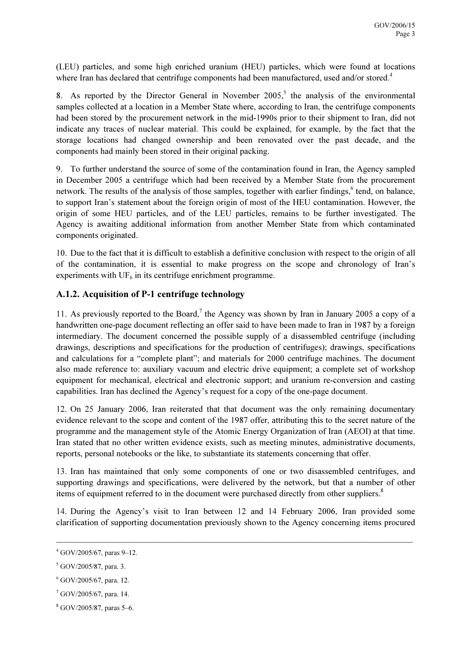(LEU) particles, and some high enriched uranium (HEU) particles, which were found at locations where Iran has declared that centrifuge components had been manufactured, used and/or stored.<sup>4</sup>

8. As reported by the Director General in November  $2005$ ,<sup>5</sup> the analysis of the environmental samples collected at a location in a Member State where, according to Iran, the centrifuge components had been stored by the procurement network in the mid-1990s prior to their shipment to Iran, did not indicate any traces of nuclear material. This could be explained, for example, by the fact that the storage locations had changed ownership and been renovated over the past decade, and the components had mainly been stored in their original packing.

9. To further understand the source of some of the contamination found in Iran, the Agency sampled in December 2005 a centrifuge which had been received by a Member State from the procurement network. The results of the analysis of those samples, together with earlier findings,<sup>6</sup> tend, on balance, to support Iran's statement about the foreign origin of most of the HEU contamination. However, the origin of some HEU particles, and of the LEU particles, remains to be further investigated. The Agency is awaiting additional information from another Member State from which contaminated components originated.

10. Due to the fact that it is difficult to establish a definitive conclusion with respect to the origin of all of the contamination, it is essential to make progress on the scope and chronology of Iran's experiments with  $UF_6$  in its centrifuge enrichment programme.

#### A.1.2. Acquisition of P-1 centrifuge technology

11. As previously reported to the Board,<sup>7</sup> the Agency was shown by Iran in January 2005 a copy of a handwritten one-page document reflecting an offer said to have been made to Iran in 1987 by a foreign intermediary. The document concerned the possible supply of a disassembled centrifuge (including drawings, descriptions and specifications for the production of centrifuges); drawings, specifications and calculations for a "complete plant"; and materials for 2000 centrifuge machines. The document also made reference to: auxiliary vacuum and electric drive equipment; a complete set of workshop equipment for mechanical, electrical and electronic support; and uranium re-conversion and casting capabilities. Iran has declined the Agency's request for a copy of the one-page document.

12. On 25 January 2006, Iran reiterated that that document was the only remaining documentary evidence relevant to the scope and content of the 1987 offer, attributing this to the secret nature of the programme and the management style of the Atomic Energy Organization of Iran (AEOI) at that time. Iran stated that no other written evidence exists, such as meeting minutes, administrative documents, reports, personal notebooks or the like, to substantiate its statements concerning that offer.

13. Iran has maintained that only some components of one or two disassembled centrifuges, and supporting drawings and specifications, were delivered by the network, but that a number of other items of equipment referred to in the document were purchased directly from other suppliers.<sup>8</sup>

14. During the Agency's visit to Iran between 12 and 14 February 2006, Iran provided some clarification of supporting documentation previously shown to the Agency concerning items procured

<sup>4</sup> GOV/2005/67, paras 9–12.

<sup>5</sup> GOV/2005/87, para. 3.

<sup>6</sup> GOV/2005/67, para. 12.

<sup>7</sup> GOV/2005/67, para. 14.

<sup>8</sup> GOV/2005/87, paras 5–6.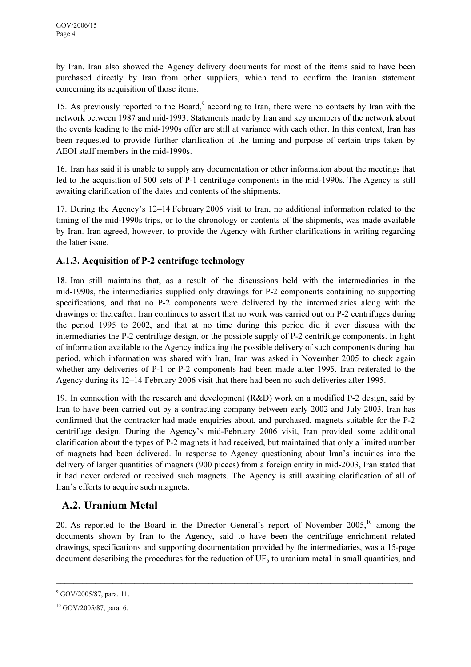by Iran. Iran also showed the Agency delivery documents for most of the items said to have been purchased directly by Iran from other suppliers, which tend to confirm the Iranian statement concerning its acquisition of those items.

15. As previously reported to the Board,<sup>9</sup> according to Iran, there were no contacts by Iran with the network between 1987 and mid-1993. Statements made by Iran and key members of the network about the events leading to the mid-1990s offer are still at variance with each other. In this context, Iran has been requested to provide further clarification of the timing and purpose of certain trips taken by AEOI staff members in the mid-1990s.

16. Iran has said it is unable to supply any documentation or other information about the meetings that led to the acquisition of 500 sets of P-1 centrifuge components in the mid-1990s. The Agency is still awaiting clarification of the dates and contents of the shipments.

17. During the Agency's 12–14 February 2006 visit to Iran, no additional information related to the timing of the mid-1990s trips, or to the chronology or contents of the shipments, was made available by Iran. Iran agreed, however, to provide the Agency with further clarifications in writing regarding the latter issue.

#### A.1.3. Acquisition of P-2 centrifuge technology

18. Iran still maintains that, as a result of the discussions held with the intermediaries in the mid-1990s, the intermediaries supplied only drawings for P-2 components containing no supporting specifications, and that no P-2 components were delivered by the intermediaries along with the drawings or thereafter. Iran continues to assert that no work was carried out on P-2 centrifuges during the period 1995 to 2002, and that at no time during this period did it ever discuss with the intermediaries the P-2 centrifuge design, or the possible supply of P-2 centrifuge components. In light of information available to the Agency indicating the possible delivery of such components during that period, which information was shared with Iran, Iran was asked in November 2005 to check again whether any deliveries of P-1 or P-2 components had been made after 1995. Iran reiterated to the Agency during its 12–14 February 2006 visit that there had been no such deliveries after 1995.

19. In connection with the research and development (R&D) work on a modified P-2 design, said by Iran to have been carried out by a contracting company between early 2002 and July 2003, Iran has confirmed that the contractor had made enquiries about, and purchased, magnets suitable for the P-2 centrifuge design. During the Agency's mid-February 2006 visit, Iran provided some additional clarification about the types of P-2 magnets it had received, but maintained that only a limited number of magnets had been delivered. In response to Agency questioning about Iran's inquiries into the delivery of larger quantities of magnets (900 pieces) from a foreign entity in mid-2003, Iran stated that it had never ordered or received such magnets. The Agency is still awaiting clarification of all of Iran's efforts to acquire such magnets.

#### A.2. Uranium Metal

20. As reported to the Board in the Director General's report of November 2005,<sup>10</sup> among the documents shown by Iran to the Agency, said to have been the centrifuge enrichment related drawings, specifications and supporting documentation provided by the intermediaries, was a 15-page document describing the procedures for the reduction of  $UF_6$  to uranium metal in small quantities, and

 $\_$ 

<sup>&</sup>lt;sup>9</sup> GOV/2005/87, para. 11.

 $10$  GOV/2005/87, para. 6.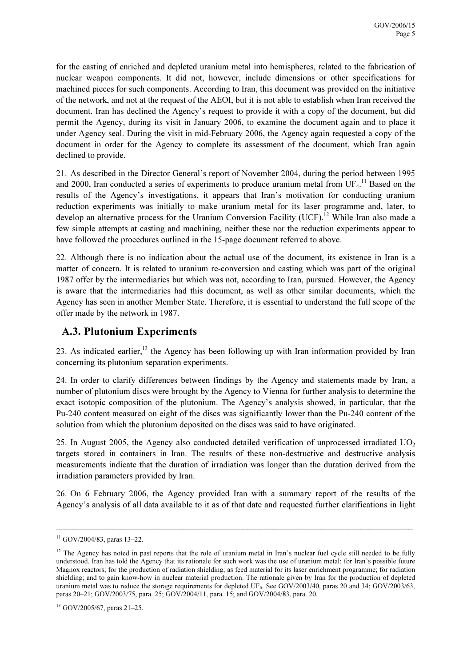for the casting of enriched and depleted uranium metal into hemispheres, related to the fabrication of nuclear weapon components. It did not, however, include dimensions or other specifications for machined pieces for such components. According to Iran, this document was provided on the initiative of the network, and not at the request of the AEOI, but it is not able to establish when Iran received the document. Iran has declined the Agency's request to provide it with a copy of the document, but did permit the Agency, during its visit in January 2006, to examine the document again and to place it under Agency seal. During the visit in mid-February 2006, the Agency again requested a copy of the document in order for the Agency to complete its assessment of the document, which Iran again declined to provide.

21. As described in the Director General's report of November 2004, during the period between 1995 and 2000, Iran conducted a series of experiments to produce uranium metal from  $UF<sub>4</sub>$ .<sup>11</sup> Based on the results of the Agency's investigations, it appears that Iran's motivation for conducting uranium reduction experiments was initially to make uranium metal for its laser programme and, later, to develop an alternative process for the Uranium Conversion Facility (UCF).<sup>12</sup> While Iran also made a few simple attempts at casting and machining, neither these nor the reduction experiments appear to have followed the procedures outlined in the 15-page document referred to above.

22. Although there is no indication about the actual use of the document, its existence in Iran is a matter of concern. It is related to uranium re-conversion and casting which was part of the original 1987 offer by the intermediaries but which was not, according to Iran, pursued. However, the Agency is aware that the intermediaries had this document, as well as other similar documents, which the Agency has seen in another Member State. Therefore, it is essential to understand the full scope of the offer made by the network in 1987.

#### A.3. Plutonium Experiments

23. As indicated earlier, $^{13}$  the Agency has been following up with Iran information provided by Iran concerning its plutonium separation experiments.

24. In order to clarify differences between findings by the Agency and statements made by Iran, a number of plutonium discs were brought by the Agency to Vienna for further analysis to determine the exact isotopic composition of the plutonium. The Agency's analysis showed, in particular, that the Pu-240 content measured on eight of the discs was significantly lower than the Pu-240 content of the solution from which the plutonium deposited on the discs was said to have originated.

25. In August 2005, the Agency also conducted detailed verification of unprocessed irradiated  $UO<sub>2</sub>$ targets stored in containers in Iran. The results of these non-destructive and destructive analysis measurements indicate that the duration of irradiation was longer than the duration derived from the irradiation parameters provided by Iran.

26. On 6 February 2006, the Agency provided Iran with a summary report of the results of the Agency's analysis of all data available to it as of that date and requested further clarifications in light

<sup>11</sup> GOV/2004/83, paras 13–22.

 $12$  The Agency has noted in past reports that the role of uranium metal in Iran's nuclear fuel cycle still needed to be fully understood. Iran has told the Agency that its rationale for such work was the use of uranium metal: for Iran's possible future Magnox reactors; for the production of radiation shielding; as feed material for its laser enrichment programme; for radiation shielding; and to gain know-how in nuclear material production. The rationale given by Iran for the production of depleted uranium metal was to reduce the storage requirements for depleted UF<sub>6</sub>. See GOV/2003/40, paras 20 and 34; GOV/2003/63, paras 20–21; GOV/2003/75, para. 25; GOV/2004/11, para. 15; and GOV/2004/83, para. 20.

<sup>13</sup> GOV/2005/67, paras 21–25.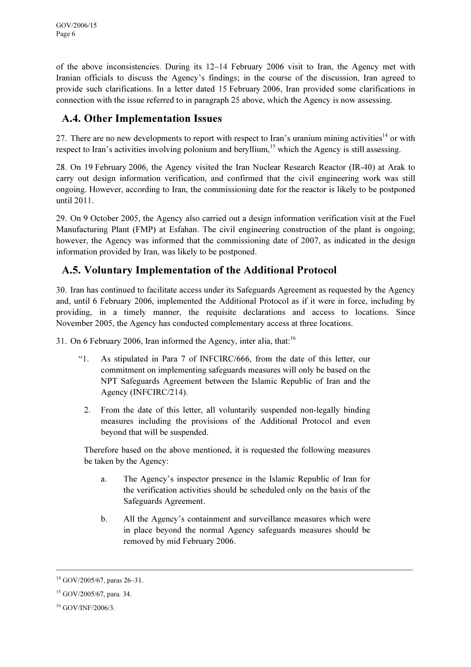of the above inconsistencies. During its 12–14 February 2006 visit to Iran, the Agency met with Iranian officials to discuss the Agency's findings; in the course of the discussion, Iran agreed to provide such clarifications. In a letter dated 15 February 2006, Iran provided some clarifications in connection with the issue referred to in paragraph 25 above, which the Agency is now assessing.

### A.4. Other Implementation Issues

27. There are no new developments to report with respect to Iran's uranium mining activities<sup>14</sup> or with respect to Iran's activities involving polonium and beryllium,<sup>15</sup> which the Agency is still assessing.

28. On 19 February 2006, the Agency visited the Iran Nuclear Research Reactor (IR-40) at Arak to carry out design information verification, and confirmed that the civil engineering work was still ongoing. However, according to Iran, the commissioning date for the reactor is likely to be postponed until 2011.

29. On 9 October 2005, the Agency also carried out a design information verification visit at the Fuel Manufacturing Plant (FMP) at Esfahan. The civil engineering construction of the plant is ongoing; however, the Agency was informed that the commissioning date of 2007, as indicated in the design information provided by Iran, was likely to be postponed.

#### A.5. Voluntary Implementation of the Additional Protocol

30. Iran has continued to facilitate access under its Safeguards Agreement as requested by the Agency and, until 6 February 2006, implemented the Additional Protocol as if it were in force, including by providing, in a timely manner, the requisite declarations and access to locations. Since November 2005, the Agency has conducted complementary access at three locations.

31. On 6 February 2006, Iran informed the Agency, inter alia, that:<sup>16</sup>

- "1. As stipulated in Para 7 of INFCIRC/666, from the date of this letter, our commitment on implementing safeguards measures will only be based on the NPT Safeguards Agreement between the Islamic Republic of Iran and the Agency (INFCIRC/214).
	- 2. From the date of this letter, all voluntarily suspended non-legally binding measures including the provisions of the Additional Protocol and even beyond that will be suspended.

Therefore based on the above mentioned, it is requested the following measures be taken by the Agency:

- a. The Agency's inspector presence in the Islamic Republic of Iran for the verification activities should be scheduled only on the basis of the Safeguards Agreement.
- b. All the Agency's containment and surveillance measures which were in place beyond the normal Agency safeguards measures should be removed by mid February 2006.

 $14$  GOV/2005/67, paras 26–31.

<sup>15</sup> GOV/2005/67, para. 34.

 $16$  GOV/INF/2006/3.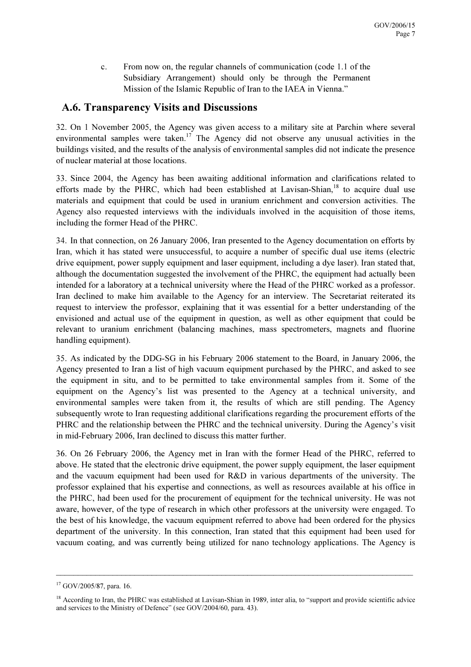c. From now on, the regular channels of communication (code 1.1 of the Subsidiary Arrangement) should only be through the Permanent Mission of the Islamic Republic of Iran to the IAEA in Vienna."

#### A.6. Transparency Visits and Discussions

32. On 1 November 2005, the Agency was given access to a military site at Parchin where several environmental samples were taken.<sup>17</sup> The Agency did not observe any unusual activities in the buildings visited, and the results of the analysis of environmental samples did not indicate the presence of nuclear material at those locations.

33. Since 2004, the Agency has been awaiting additional information and clarifications related to efforts made by the PHRC, which had been established at Lavisan-Shian,  $18$  to acquire dual use materials and equipment that could be used in uranium enrichment and conversion activities. The Agency also requested interviews with the individuals involved in the acquisition of those items, including the former Head of the PHRC.

34. In that connection, on 26 January 2006, Iran presented to the Agency documentation on efforts by Iran, which it has stated were unsuccessful, to acquire a number of specific dual use items (electric drive equipment, power supply equipment and laser equipment, including a dye laser). Iran stated that, although the documentation suggested the involvement of the PHRC, the equipment had actually been intended for a laboratory at a technical university where the Head of the PHRC worked as a professor. Iran declined to make him available to the Agency for an interview. The Secretariat reiterated its request to interview the professor, explaining that it was essential for a better understanding of the envisioned and actual use of the equipment in question, as well as other equipment that could be relevant to uranium enrichment (balancing machines, mass spectrometers, magnets and fluorine handling equipment).

35. As indicated by the DDG-SG in his February 2006 statement to the Board, in January 2006, the Agency presented to Iran a list of high vacuum equipment purchased by the PHRC, and asked to see the equipment in situ, and to be permitted to take environmental samples from it. Some of the equipment on the Agency's list was presented to the Agency at a technical university, and environmental samples were taken from it, the results of which are still pending. The Agency subsequently wrote to Iran requesting additional clarifications regarding the procurement efforts of the PHRC and the relationship between the PHRC and the technical university. During the Agency's visit in mid-February 2006, Iran declined to discuss this matter further.

36. On 26 February 2006, the Agency met in Iran with the former Head of the PHRC, referred to above. He stated that the electronic drive equipment, the power supply equipment, the laser equipment and the vacuum equipment had been used for R&D in various departments of the university. The professor explained that his expertise and connections, as well as resources available at his office in the PHRC, had been used for the procurement of equipment for the technical university. He was not aware, however, of the type of research in which other professors at the university were engaged. To the best of his knowledge, the vacuum equipment referred to above had been ordered for the physics department of the university. In this connection, Iran stated that this equipment had been used for vacuum coating, and was currently being utilized for nano technology applications. The Agency is

<sup>&</sup>lt;sup>17</sup> GOV/2005/87, para. 16.

<sup>&</sup>lt;sup>18</sup> According to Iran, the PHRC was established at Lavisan-Shian in 1989, inter alia, to "support and provide scientific advice and services to the Ministry of Defence" (see GOV/2004/60, para. 43).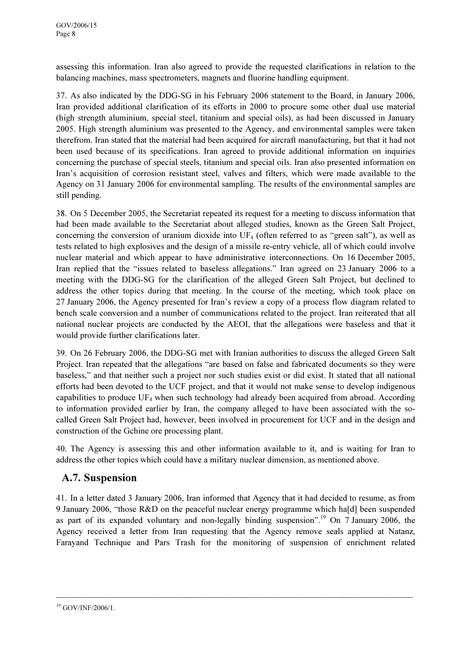assessing this information. Iran also agreed to provide the requested clarifications in relation to the balancing machines, mass spectrometers, magnets and fluorine handling equipment.

37. As also indicated by the DDG-SG in his February 2006 statement to the Board, in January 2006, Iran provided additional clarification of its efforts in 2000 to procure some other dual use material (high strength aluminium, special steel, titanium and special oils), as had been discussed in January 2005. High strength aluminium was presented to the Agency, and environmental samples were taken therefrom. Iran stated that the material had been acquired for aircraft manufacturing, but that it had not been used because of its specifications. Iran agreed to provide additional information on inquiries concerning the purchase of special steels, titanium and special oils. Iran also presented information on Iran's acquisition of corrosion resistant steel, valves and filters, which were made available to the Agency on 31 January 2006 for environmental sampling. The results of the environmental samples are still pending.

38. On 5 December 2005, the Secretariat repeated its request for a meeting to discuss information that had been made available to the Secretariat about alleged studies, known as the Green Salt Project, concerning the conversion of uranium dioxide into  $UF_4$  (often referred to as "green salt"), as well as tests related to high explosives and the design of a missile re-entry vehicle, all of which could involve nuclear material and which appear to have administrative interconnections. On 16 December 2005, Iran replied that the "issues related to baseless allegations." Iran agreed on 23 January 2006 to a meeting with the DDG-SG for the clarification of the alleged Green Salt Project, but declined to address the other topics during that meeting. In the course of the meeting, which took place on 27 January 2006, the Agency presented for Iran's review a copy of a process flow diagram related to bench scale conversion and a number of communications related to the project. Iran reiterated that all national nuclear projects are conducted by the AEOI, that the allegations were baseless and that it would provide further clarifications later.

39. On 26 February 2006, the DDG-SG met with Iranian authorities to discuss the alleged Green Salt Project. Iran repeated that the allegations "are based on false and fabricated documents so they were baseless," and that neither such a project nor such studies exist or did exist. It stated that all national efforts had been devoted to the UCF project, and that it would not make sense to develop indigenous capabilities to produce  $UF_4$  when such technology had already been acquired from abroad. According to information provided earlier by Iran, the company alleged to have been associated with the socalled Green Salt Project had, however, been involved in procurement for UCF and in the design and construction of the Gchine ore processing plant.

40. The Agency is assessing this and other information available to it, and is waiting for Iran to address the other topics which could have a military nuclear dimension, as mentioned above.

#### A.7. Suspension

41. In a letter dated 3 January 2006, Iran informed that Agency that it had decided to resume, as from 9 January 2006, "those R&D on the peaceful nuclear energy programme which ha[d] been suspended as part of its expanded voluntary and non-legally binding suspension".<sup>19</sup> On 7 January 2006, the Agency received a letter from Iran requesting that the Agency remove seals applied at Natanz, Farayand Technique and Pars Trash for the monitoring of suspension of enrichment related

<sup>19</sup> GOV/INF/2006/1.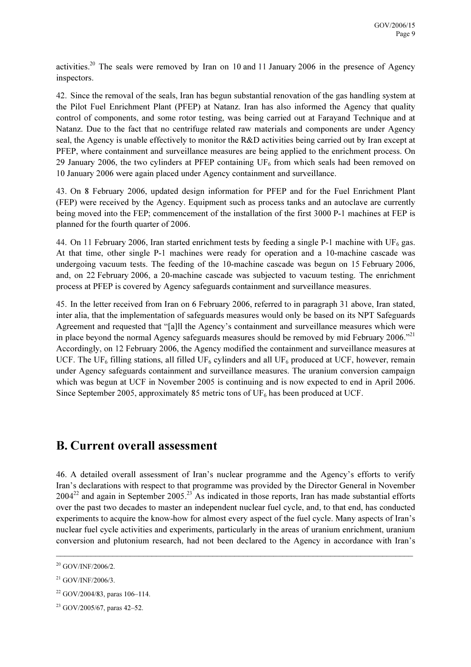activities.<sup>20</sup> The seals were removed by Iran on 10 and 11 January 2006 in the presence of Agency inspectors.

42. Since the removal of the seals, Iran has begun substantial renovation of the gas handling system at the Pilot Fuel Enrichment Plant (PFEP) at Natanz. Iran has also informed the Agency that quality control of components, and some rotor testing, was being carried out at Farayand Technique and at Natanz. Due to the fact that no centrifuge related raw materials and components are under Agency seal, the Agency is unable effectively to monitor the R&D activities being carried out by Iran except at PFEP, where containment and surveillance measures are being applied to the enrichment process. On 29 January 2006, the two cylinders at PFEP containing  $UF_6$  from which seals had been removed on 10 January 2006 were again placed under Agency containment and surveillance.

43. On 8 February 2006, updated design information for PFEP and for the Fuel Enrichment Plant (FEP) were received by the Agency. Equipment such as process tanks and an autoclave are currently being moved into the FEP; commencement of the installation of the first 3000 P-1 machines at FEP is planned for the fourth quarter of 2006.

44. On 11 February 2006, Iran started enrichment tests by feeding a single P-1 machine with UF<sub>6</sub> gas. At that time, other single P-1 machines were ready for operation and a 10-machine cascade was undergoing vacuum tests. The feeding of the 10-machine cascade was begun on 15 February 2006, and, on 22 February 2006, a 20-machine cascade was subjected to vacuum testing. The enrichment process at PFEP is covered by Agency safeguards containment and surveillance measures.

45. In the letter received from Iran on 6 February 2006, referred to in paragraph 31 above, Iran stated, inter alia, that the implementation of safeguards measures would only be based on its NPT Safeguards Agreement and requested that "[a]ll the Agency's containment and surveillance measures which were in place beyond the normal Agency safeguards measures should be removed by mid February 2006."<sup>21</sup> Accordingly, on 12 February 2006, the Agency modified the containment and surveillance measures at UCF. The UF<sub>6</sub> filling stations, all filled UF<sub>6</sub> cylinders and all UF<sub>6</sub> produced at UCF, however, remain under Agency safeguards containment and surveillance measures. The uranium conversion campaign which was begun at UCF in November 2005 is continuing and is now expected to end in April 2006. Since September 2005, approximately 85 metric tons of  $UF_6$  has been produced at UCF.

## B. Current overall assessment

46. A detailed overall assessment of Iran's nuclear programme and the Agency's efforts to verify Iran's declarations with respect to that programme was provided by the Director General in November  $2004^{22}$  and again in September 2005.<sup>23</sup> As indicated in those reports, Iran has made substantial efforts over the past two decades to master an independent nuclear fuel cycle, and, to that end, has conducted experiments to acquire the know-how for almost every aspect of the fuel cycle. Many aspects of Iran's nuclear fuel cycle activities and experiments, particularly in the areas of uranium enrichment, uranium conversion and plutonium research, had not been declared to the Agency in accordance with Iran's

 $\mathcal{L}_\mathcal{L} = \mathcal{L}_\mathcal{L} = \mathcal{L}_\mathcal{L} = \mathcal{L}_\mathcal{L} = \mathcal{L}_\mathcal{L} = \mathcal{L}_\mathcal{L} = \mathcal{L}_\mathcal{L} = \mathcal{L}_\mathcal{L} = \mathcal{L}_\mathcal{L} = \mathcal{L}_\mathcal{L} = \mathcal{L}_\mathcal{L} = \mathcal{L}_\mathcal{L} = \mathcal{L}_\mathcal{L} = \mathcal{L}_\mathcal{L} = \mathcal{L}_\mathcal{L} = \mathcal{L}_\mathcal{L} = \mathcal{L}_\mathcal{L}$ 

<sup>20</sup> GOV/INF/2006/2.

 $^{21}$  GOV/INF/2006/3.

 $22$  GOV/2004/83, paras 106-114.

<sup>23</sup> GOV/2005/67, paras 42–52.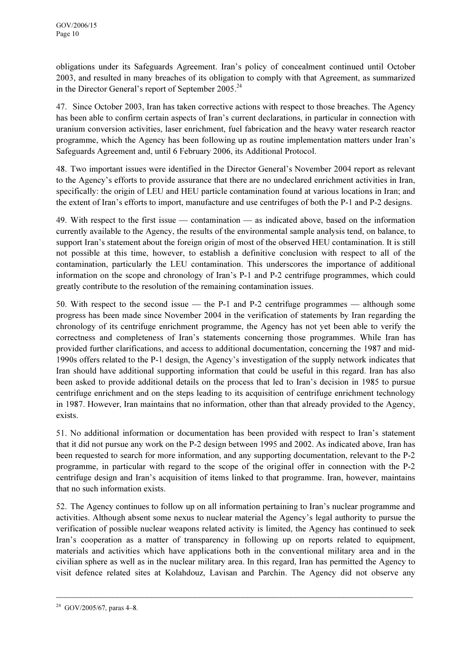obligations under its Safeguards Agreement. Iran's policy of concealment continued until October 2003, and resulted in many breaches of its obligation to comply with that Agreement, as summarized in the Director General's report of September  $2005.<sup>24</sup>$ 

47. Since October 2003, Iran has taken corrective actions with respect to those breaches. The Agency has been able to confirm certain aspects of Iran's current declarations, in particular in connection with uranium conversion activities, laser enrichment, fuel fabrication and the heavy water research reactor programme, which the Agency has been following up as routine implementation matters under Iran's Safeguards Agreement and, until 6 February 2006, its Additional Protocol.

48. Two important issues were identified in the Director General's November 2004 report as relevant to the Agency's efforts to provide assurance that there are no undeclared enrichment activities in Iran, specifically: the origin of LEU and HEU particle contamination found at various locations in Iran; and the extent of Iran's efforts to import, manufacture and use centrifuges of both the P-1 and P-2 designs.

49. With respect to the first issue — contamination — as indicated above, based on the information currently available to the Agency, the results of the environmental sample analysis tend, on balance, to support Iran's statement about the foreign origin of most of the observed HEU contamination. It is still not possible at this time, however, to establish a definitive conclusion with respect to all of the contamination, particularly the LEU contamination. This underscores the importance of additional information on the scope and chronology of Iran's P-1 and P-2 centrifuge programmes, which could greatly contribute to the resolution of the remaining contamination issues.

50. With respect to the second issue — the P-1 and P-2 centrifuge programmes — although some progress has been made since November 2004 in the verification of statements by Iran regarding the chronology of its centrifuge enrichment programme, the Agency has not yet been able to verify the correctness and completeness of Iran's statements concerning those programmes. While Iran has provided further clarifications, and access to additional documentation, concerning the 1987 and mid-1990s offers related to the P-1 design, the Agency's investigation of the supply network indicates that Iran should have additional supporting information that could be useful in this regard. Iran has also been asked to provide additional details on the process that led to Iran's decision in 1985 to pursue centrifuge enrichment and on the steps leading to its acquisition of centrifuge enrichment technology in 1987. However, Iran maintains that no information, other than that already provided to the Agency, exists.

51. No additional information or documentation has been provided with respect to Iran's statement that it did not pursue any work on the P-2 design between 1995 and 2002. As indicated above, Iran has been requested to search for more information, and any supporting documentation, relevant to the P-2 programme, in particular with regard to the scope of the original offer in connection with the P-2 centrifuge design and Iran's acquisition of items linked to that programme. Iran, however, maintains that no such information exists.

52. The Agency continues to follow up on all information pertaining to Iran's nuclear programme and activities. Although absent some nexus to nuclear material the Agency's legal authority to pursue the verification of possible nuclear weapons related activity is limited, the Agency has continued to seek Iran's cooperation as a matter of transparency in following up on reports related to equipment, materials and activities which have applications both in the conventional military area and in the civilian sphere as well as in the nuclear military area. In this regard, Iran has permitted the Agency to visit defence related sites at Kolahdouz, Lavisan and Parchin. The Agency did not observe any

<sup>24</sup> GOV/2005/67, paras 4–8.